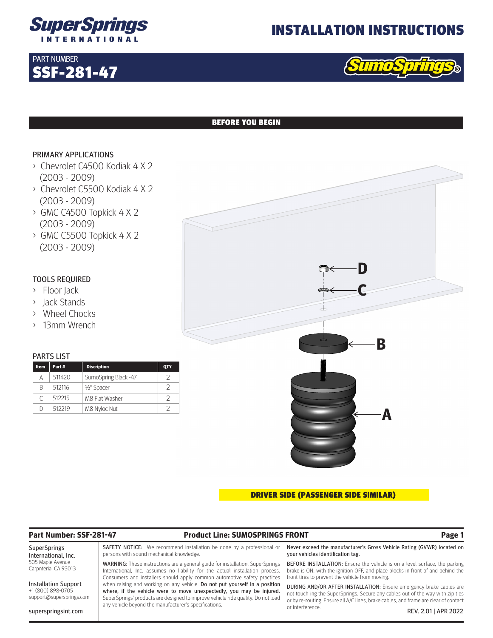

## INSTALLATION INSTRUCTIONS



## BEFORE YOU BEGIN

### PRIMARY APPLICATIONS

SSF-281-47

PART NUMBER

- > Chevrolet C4500 Kodiak 4 X 2 (2003 - 2009)
- > Chevrolet C5500 Kodiak 4 X 2 (2003 - 2009)
- > GMC C4500 Topkick 4 X 2 (2003 - 2009)
- > GMC C5500 Topkick 4 X 2 (2003 - 2009)

## TOOLS REQUIRED

- > Floor Jack
- > Jack Stands
- > Wheel Chocks
- > 13mm Wrench

### PARTS LIST

| <b>Item</b> | Part#  | <b>Discription</b>       | <b>QTY</b> |
|-------------|--------|--------------------------|------------|
| Α           | 511420 | SumoSpring Black -47     | ン          |
| B           | 512116 | 1/ <sub>2</sub> " Spacer | 2          |
| C           | 512215 | M8 Flat Washer           |            |
| D           | 512219 | M8 Nyloc Nut             |            |



DRIVER SIDE (PASSENGER SIDE SIMILAR)

## **Part Number: SSF-281-47 Product Line: SUMOSPRINGS FRONT Page 1**

SuperSprings International, Inc. 505 Maple Avenue Carpnteria, CA 93013

Installation Support +1 (800) 898-0705 support@supersprings.com

superspringsint.com

SAFETY NOTICE: We recommend installation be done by a professional or persons with sound mechanical knowledge.

WARNING: These instructions are a general guide for installation. SuperSprings International, Inc. assumes no liability for the actual installation process. Consumers and installers should apply common automotive safety practices when raising and working on any vehicle. Do not put yourself in a position where, if the vehicle were to move unexpectedly, you may be injured. SuperSprings' products are designed to improve vehicle ride quality. Do not load any vehicle beyond the manufacturer's specifications.

Never exceed the manufacturer's Gross Vehicle Rating (GVWR) located on your vehicles identification tag.

BEFORE INSTALLATION: Ensure the vehicle is on a level surface, the parking brake is ON, with the ignition OFF, and place blocks in front of and behind the front tires to prevent the vehicle from moving.

DURING AND/OR AFTER INSTALLATION: Ensure emergency brake cables are not touch-ing the SuperSprings. Secure any cables out of the way with zip ties or by re-routing. Ensure all A/C lines, brake cables, and frame are clear of contact or interference. REV. 2.01 | APR 2022